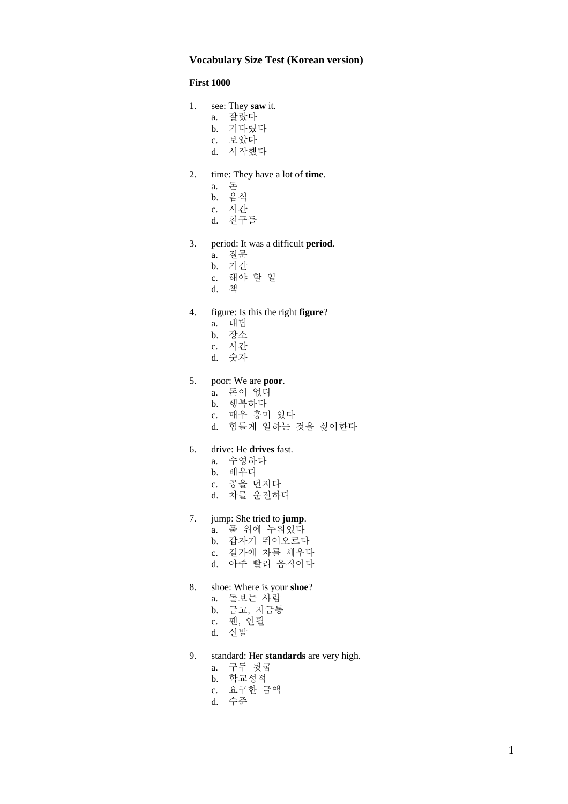### **Vocabulary Size Test (Korean version)**

#### **First 1000**

- 1. see: They **saw** it.
	- a. 잘랐다
	- b. 기다렸다
	- c. 보았다
	- d. 시작했다
- 2. time: They have a lot of **time**.
	- a. 돈
	- b. 음식
	- c. 시간
	- d. 친구들
- 3. period: It was a difficult **period**.
	- a. 질문
	- b. 기간
	- c. 해야 할 일
	- d. 책

# 4. figure: Is this the right **figure**?

- a. 대답
- b. 장소
- c. 시간
- d. 숫자

# 5. poor: We are **poor**.

- a. 돈이 없다
- b. 행복하다
- c. 매우 흥미 있다
- d. 힘들게 일하는 것을 싫어한다

### 6. drive: He **drives** fast.

- a. 수영하다
- b. 배우다
- c. 공을 던지다
- d. 차를 운전하다

# 7. jump: She tried to **jump**.

- a. 물 위에 누워있다
- b. 갑자기 뛰어오르다
- c. 길가에 차를 세우다
- d. 아주 빨리 움직이다

#### 8. shoe: Where is your **shoe**?

- a. 돌보는 사람
- b. 금고, 저금통
- c. 펜, 연필
- d. 신발
- 9. standard: Her **standards** are very high.
	- a. 구두 뒷굽
	- b. 학교성적
	- c. 요구한 금액
	- d. 수준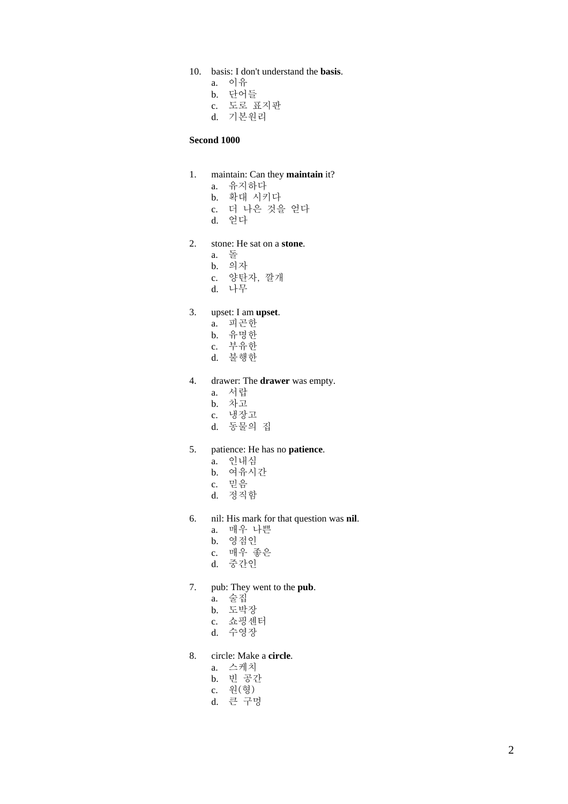- 10. basis: I don't understand the **basis**.
	- a. 이유
	- b. 단어들
	- c. 도로 표지판
	- d. 기본원리

#### **Second 1000**

- 1. maintain: Can they **maintain** it?
	- a. 유지하다
	- b. 확대 시키다
	- c. 더 나은 것을 얻다
	- d. 얻다
- 2. stone: He sat on a **stone**.
	- a. 돌
	- b. 의자
		- c. 양탄자, 깔개
	- d. 나무

### 3. upset: I am **upset**.

- a. 피곤한
- b. 유명한
- c. 부유한
- d. 불행한
- 4. drawer: The **drawer** was empty.
	- a. 서랍
	- b. 차고
	- c. 냉장고
	- d. 동물의 집

#### 5. patience: He has no **patience**.

- a. 인내심
- b. 여유시간
- c. 믿음
- d. 정직함
- 6. nil: His mark for that question was **nil**.
	- a. 매우 나쁜
	- b. 영점인
	- c. 매우 좋은
	- d. 중간인
- 7. pub: They went to the **pub**.
	- a. 술집
	- b. 도박장
	- c. 쇼핑센터
	- d. 수영장

# 8. circle: Make a **circle**.

- a. 스케치
- b. 빈 공간
- c. 원(형)
- d. 큰 구멍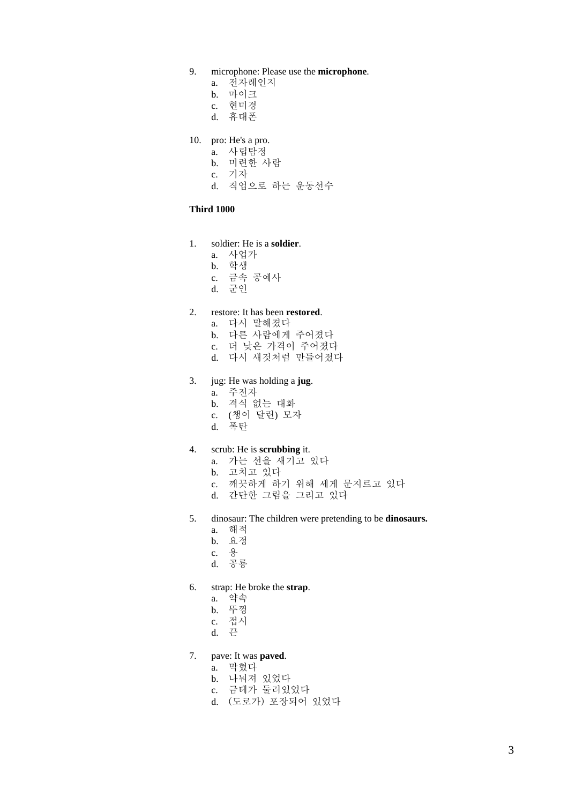- 9. microphone: Please use the **microphone**.
	- a. 전자레인지
	- b. 마이크
	- c. 현미경
	- d. 휴대폰
- 10. pro: He's a pro.
	- a. 사립탐정
	- b. 미련한 사람
	- c. 기자
	- d. 직업으로 하는 운동선수

#### **Third 1000**

#### 1. soldier: He is a **soldier**.

- a. 사업가
- b. 학생
- c. 금속 공예사
- d. 군인

### 2. restore: It has been **restored**.

- a. 다시 말해졌다
- b. 다른 사람에게 주어졌다
- c. 더 낮은 가격이 주어졌다
- d. 다시 새것처럼 만들어졌다

# 3. jug: He was holding a **jug**.

- a. 주전자
- b. 격식 없는 대화
- c. (챙이 달린) 모자
- d. 폭탄

### 4. scrub: He is **scrubbing** it.

- a. 가는 선을 새기고 있다
- b. 고치고 있다
- c. 깨끗하게 하기 위해 세게 문지르고 있다
- d. 간단한 그림을 그리고 있다
- 5. dinosaur: The children were pretending to be **dinosaurs.**
	- a. 해적
	- b. 요정
	- c. 용
	- d. 공룡
- 6. strap: He broke the **strap**.
	- a. 약속
	- b. 뚜껑
	- c. 접시
	- d. 끈

# 7. pave: It was **paved**.

- a. 막혔다
- b. 나눠져 있었다
- c. 금테가 둘러있었다
- d. (도로가) 포장되어 있었다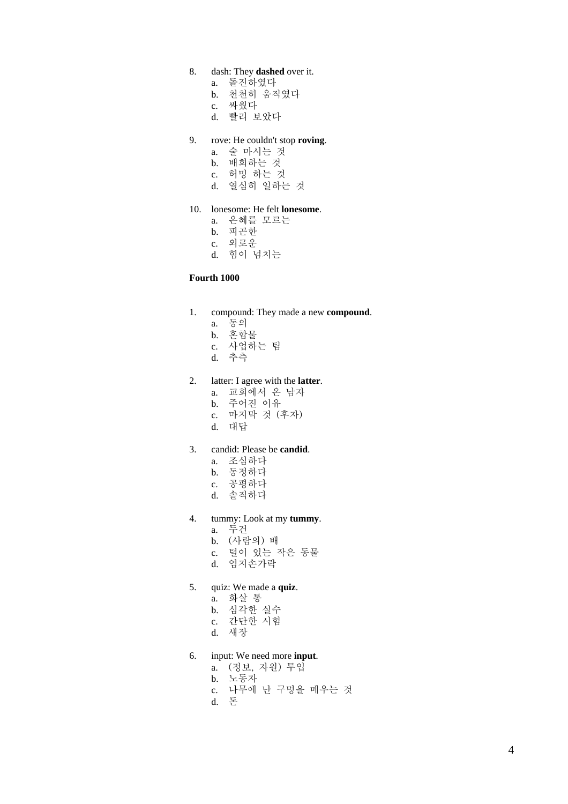# 8. dash: They **dashed** over it.

- a. 돌진하였다
- b. 천천히 움직였다
- c. 싸웠다
- d. 빨리 보았다

#### 9. rove: He couldn't stop **roving**.

- a. 술 마시는 것
- b. 배회하는 것
- c. 허밍 하는 것
- d. 열심히 일하는 것

#### 10. lonesome: He felt **lonesome**.

- a. 은혜를 모르는
- b. 피곤한
- c. 외로운
- d. 힘이 넘치는

#### **Fourth 1000**

- 1. compound: They made a new **compound**.
	- a. 동의
	- b. 혼합물
	- c. 사업하는 팀
	- d. 추측

### 2. latter: I agree with the **latter**.

- a. 교회에서 온 남자
- b. 주어진 이유
- c. 마지막 것 (후자)
- d. 대답

#### 3. candid: Please be **candid**.

- a. 조심하다
- b. 동정하다
- c. 공평하다
- d. 솔직하다
- 4. tummy: Look at my **tummy**.
	- a. 두건
	- b. (사람의) 배
	- c. 털이 있는 작은 동물
	- d. 엄지손가락
- 5. quiz: We made a **quiz**.
	- a. 화살 통
	- b. 심각한 실수
	- c. 간단한 시험
	- d. 새장
- 6. input: We need more **input**.
	- a. (정보, 자원) 투입
	- b. 노동자
	- c. 나무에 난 구멍을 메우는 것
	- d. 돈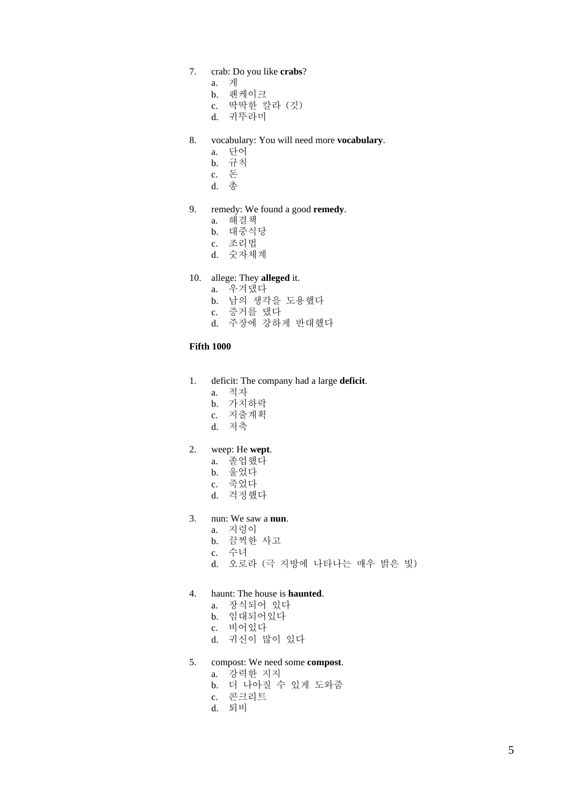# 7. crab: Do you like **crabs**?

- a. 게
- b. 팬케이크
- c. 딱딱한 칼라 (깃)
- d. 귀뚜라미

#### 8. vocabulary: You will need more **vocabulary**.

- a. 단어
- b. 규칙
- c. 돈
- d. 총

### 9. remedy: We found a good **remedy**.

- a. 해결책
- b. 대중식당
- c. 조리법
- d. 숫자체계

# 10. allege: They **alleged** it.

- a. 우겨댔다
- b. 남의 생각을 도용했다
- c. 증거를 댔다
- d. 주장에 강하게 반대했다

### **Fifth 1000**

- 1. deficit: The company had a large **deficit**.
	- a. 적자
	- b. 가치하락
	- c. 지출계획
	- d. 저축

#### 2. weep: He **wept**.

- a. 졸업했다
- b. 울었다
- c. 죽었다
- d. 걱정했다

# 3. nun: We saw a **nun**.

- a. 지렁이
- b. 끔찍한 사고
- c. 수녀
- d. 오로라 (극 지방에 나타나는 매우 밝은 빛)

#### 4. haunt: The house is **haunted**.

- a. 장식되어 있다
- b. 임대되어있다
- c. 비어있다
- d. 귀신이 많이 있다
- 5. compost: We need some **compost**.
	- a. 강력한 지지
	- b. 더 나아질 수 있게 도와줌
	- c. 콘크리트
	- d. 퇴비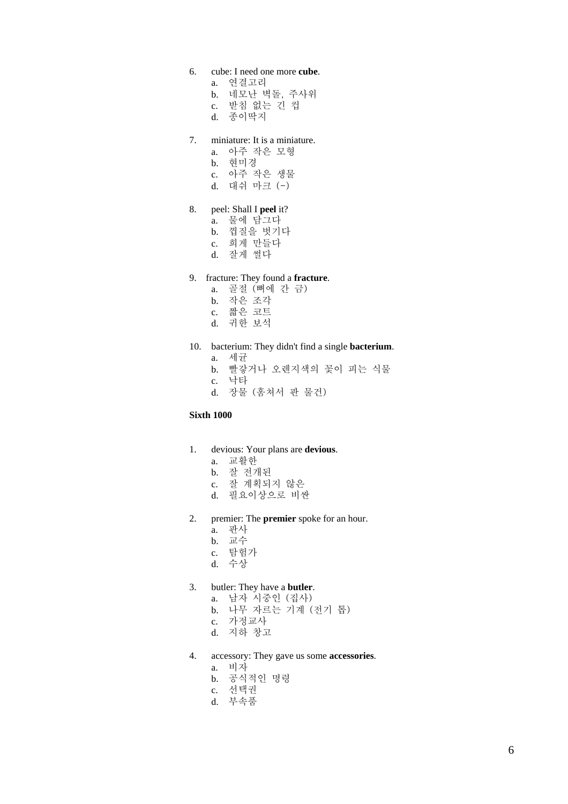- 6. cube: I need one more **cube**.
	- a. 연결고리
	- b. 네모난 벽돌, 주사위 c. 받침 없는 긴 컵
	- d. 종이딱지
- 7. miniature: It is a miniature.
	- a. 아주 작은 모형
	- b. 현미경
	- c. 아주 작은 생물
	- d. 대쉬 마크 (-)

#### 8. peel: Shall I **peel** it?

- a. 물에 담그다
- b. 껍질을 벗기다
- c. 희게 만들다
- d. 잘게 썰다

## 9. fracture: They found a **fracture**.

- a. 골절 (뼈에 간 금)
- b. 작은 조각
- c. 짧은 코트
- d. 귀한 보석

## 10. bacterium: They didn't find a single **bacterium**.

- a. 세균
- b. 빨갛거나 오렌지색의 꽃이 피는 식물
- c. 낙타
- d. 장물 (훔쳐서 판 물건)

## **Sixth 1000**

- 1. devious: Your plans are **devious**.
	- a. 교활한
	- b. 잘 전개된
	- c. 잘 계획되지 않은
	- d. 필요이상으로 비싼
- 2. premier: The **premier** spoke for an hour.
	- a. 판사
	- b. 교수
	- c. 탐험가
	- d. 수상
- 3. butler: They have a **butler**.
	- a. 남자 시중인 (집사)
	- b. 나무 자르는 기계 (전기 톱)
	- c. 가정교사
	- d. 지하 창고
- 4. accessory: They gave us some **accessories**.
	- a. 비자
	- b. 공식적인 명령
	- c. 선택권
	- d. 부속품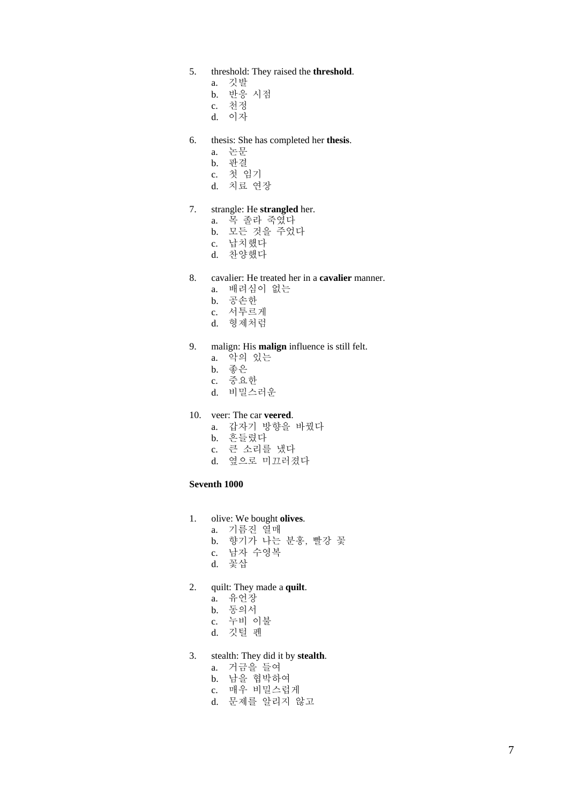- 5. threshold: They raised the **threshold**.
	- a. 깃발
	- b. 반응 시점
	- c. 천정
	- d. 이자
- 6. thesis: She has completed her **thesis**.
	- a. 논문
	- b. 판결
	- c. 첫 임기
	- d. 치료 연장

#### 7. strangle: He **strangled** her.

- a. 목 졸라 죽였다
- b. 모든 것을 주었다
- c. 납치했다
- d. 찬양했다

### 8. cavalier: He treated her in a **cavalier** manner.

- a. 배려심이 없는
- b. 공손한
- c. 서투르게
- d. 형제처럼

### 9. malign: His **malign** influence is still felt.

- a. 악의 있는
- b. 좋은
- c. 중요한
- d. 비밀스러운

#### 10. veer: The car **veered**.

- a. 갑자기 방향을 바꿨다
- b. 흔들렸다
- c. 큰 소리를 냈다
- d. 옆으로 미끄러졌다

#### **Seventh 1000**

- 1. olive: We bought **olives**.
	- a. 기름진 열매
	- b. 향기가 나는 분홍, 빨강 꽃
	- c. 남자 수영복
	- d. 꽃삽
- 2. quilt: They made a **quilt**.
	- a. 유언장
	- b. 동의서
	- c. 누비 이불
	- d. 깃털 펜
- 3. stealth: They did it by **stealth**.
	- a. 거금을 들여
	- b. 남을 협박하여
	- c. 매우 비밀스럽게
	- d. 문제를 알리지 않고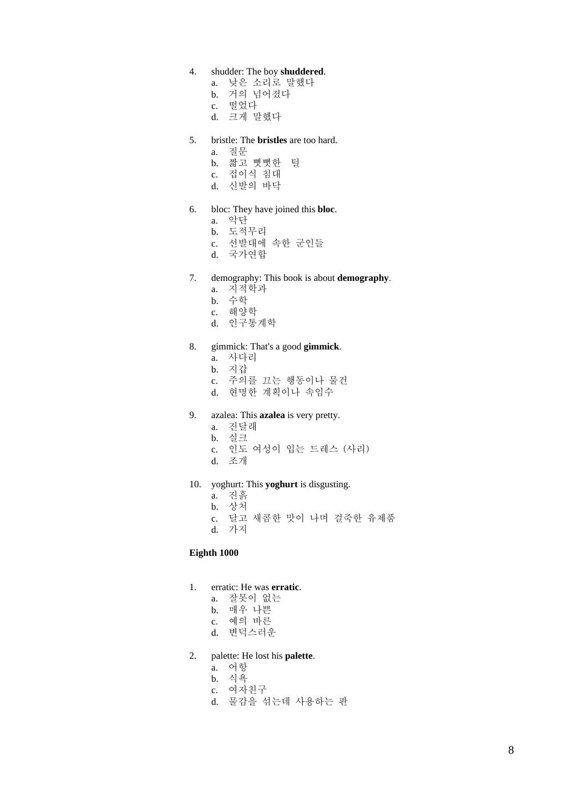## 4. shudder: The boy **shuddered**.

- a. 낮은 소리로 말했다
- b. 거의 넘어졌다
- c. 떨었다
- d. 크게 말했다

#### 5. bristle: The **bristles** are too hard.

- a. 질문
- b. 짧고 뻣뻣한 털
- c. 접이식 침대
- d. 신발의 바닥

#### 6. bloc: They have joined this **bloc**.

- a. 악단
- b. 도적무리
- c. 선발대에 속한 군인들
- d. 국가연합
- 7. demography: This book is about **demography**.
	- a. 지적학과
	- b. 수학
	- c. 해양학
	- d. 인구통계학

### 8. gimmick: That's a good **gimmick**.

- a. 사다리
- b. 지갑
- c. 주의를 끄는 행동이나 물건
- d. 현명한 계획이나 속임수
- 9. azalea: This **azalea** is very pretty.
	- a. 진달래
	- b. 실크
	- c. 인도 여성이 입는 드레스 (사리)
	- d. 조개
- 10. yoghurt: This **yoghurt** is disgusting.
	- a. 진흙
	- b. 상처
	- c. 달고 새콤한 맛이 나며 걸죽한 유제품
	- d. 가지

#### **Eighth 1000**

- 1. erratic: He was **erratic**.
	- a. 잘못이 없는
	- b. 매우 나쁜
	- c. 예의 바른
	- d. 변덕스러운
- 2. palette: He lost his **palette**.
	- a. 어항
	- b. 식욕
	- c. 여자친구
	- d. 물감을 섞는데 사용하는 판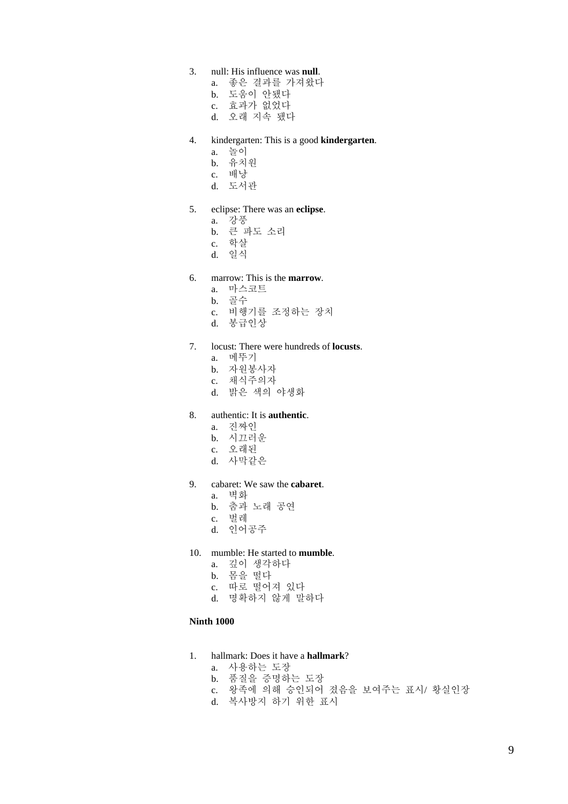- 3. null: His influence was **null**.
	- a. 좋은 결과를 가져왔다
	- b. 도움이 안됐다
	- c. 효과가 없었다
	- d. 오래 지속 됐다
- 4. kindergarten: This is a good **kindergarten**.
	- a. 놀이
	- b. 유치원
	- c. 배낭
	- d. 도서관

### 5. eclipse: There was an **eclipse**.

- a. 강풍
- b. 큰 파도 소리
- c. 학살
- d. 일식

### 6. marrow: This is the **marrow**.

- a. 마스코트
- b. 골수
- c. 비행기를 조정하는 장치
- d. 봉급인상

### 7. locust: There were hundreds of **locusts**.

- a. 메뚜기
- b. 자원봉사자
- c. 채식주의자
- d. 밝은 색의 야생화

#### 8. authentic: It is **authentic**.

- a. 진짜인
- b. 시끄러운
- c. 오래된
- d. 사막같은
- 9. cabaret: We saw the **cabaret**.
	- a. 벽화
	- b. 춤과 노래 공연
	- c. 벌레
	- d. 인어공주
- 10. mumble: He started to **mumble**.
	- a. 깊이 생각하다
	- b. 몸을 떨다
	- c. 따로 떨어져 있다
	- d. 명확하지 않게 말하다

### **Ninth 1000**

- 1. hallmark: Does it have a **hallmark**?
	- a. 사용하는 도장
	- b. 품질을 증명하는 도장
	- c. 왕족에 의해 승인되어 졌음을 보여주는 표시/ 황실인장
	- d. 복사방지 하기 위한 표시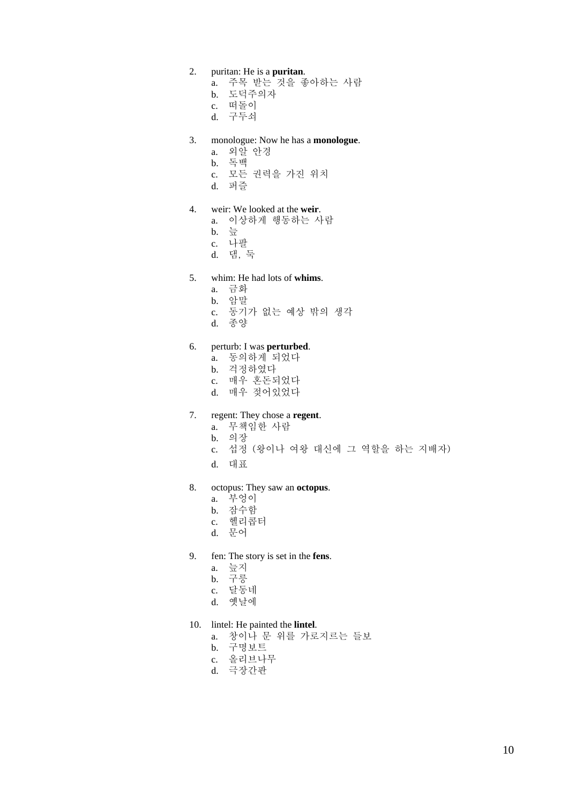#### 2. puritan: He is a **puritan**.

- a. 주목 받는 것을 좋아하는 사람
- b. 도덕주의자
- c. 떠돌이
- d. 구두쇠

### 3. monologue: Now he has a **monologue**.

- a. 외알 안경
- b. 독백
- c. 모든 권력을 가진 위치
- d. 퍼즐

#### 4. weir: We looked at the **weir**.

- a. 이상하게 행동하는 사람
- b. 늪
- c. 나팔
- d. 댐, 둑

### 5. whim: He had lots of **whims**.

- a. 금화
- b. 암말
- c. 동기가 없는 예상 밖의 생각
- d. 종양

## 6. perturb: I was **perturbed**.

- a. 동의하게 되었다
- b. 걱정하였다
- c. 매우 혼돈되었다
- d. 매우 젖어있었다

# 7. regent: They chose a **regent**.

- a. 무책임한 사람
- b. 의장
- c. 섭정 (왕이나 여왕 대신에 그 역할을 하는 지배자)
- d. 대표
- 8. octopus: They saw an **octopus**.
	- a. 부엉이
	- b. 잠수함
	- c. 헬리콥터
	- d. 문어
- 9. fen: The story is set in the **fens**.
	- a. 늪지
	- b. 구릉
	- c. 달동네
	- d. 옛날에
- 10. lintel: He painted the **lintel**.
	- a. 창이나 문 위를 가로지르는 들보
	- b. 구명보트
	- c. 올리브나무
	- d. 극장간판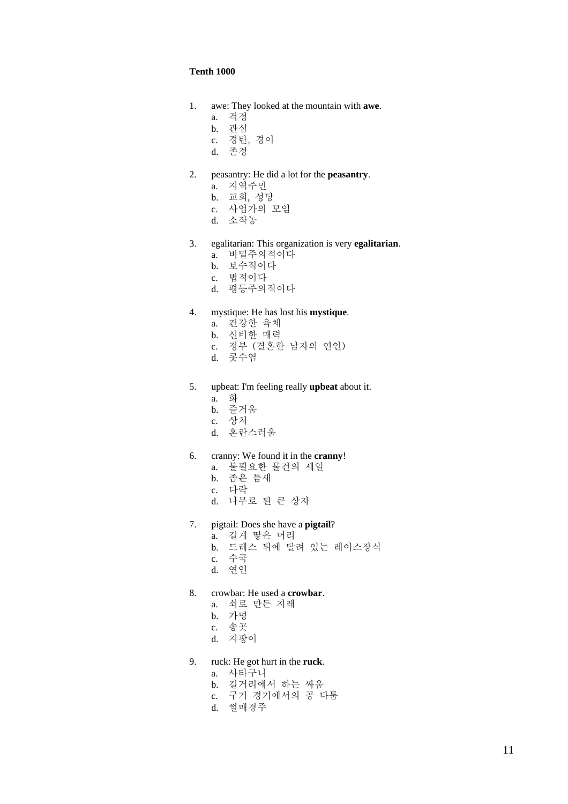### **Tenth 1000**

- 1. awe: They looked at the mountain with **awe**.
	- a. 걱정
	- b. 관심
	- c. 경탄, 경이
	- d. 존경
- 2. peasantry: He did a lot for the **peasantry**.
	- a. 지역주민
	- b. 교회, 성당
	- c. 사업가의 모임
	- d. 소작농
- 3. egalitarian: This organization is very **egalitarian**.
	- a. 비밀주의적이다
	- b. 보수적이다
	- c. 법적이다
	- d. 평등주의적이다

#### 4. mystique: He has lost his **mystique**.

- a. 건강한 육체
- b. 신비한 매력
- c. 정부 (결혼한 남자의 연인)
- d. 콧수염
- 5. upbeat: I'm feeling really **upbeat** about it.
	- a. 화
	- b. 즐거움
	- c. 상처
	- d. 혼란스러움
- 6. cranny: We found it in the **cranny**!
	- a. 불필요한 물건의 세일
	- b. 좁은 틈새
	- c. 다락
	- d. 나무로 된 큰 상자
- 7. pigtail: Does she have a **pigtail**?
	- a. 길게 땋은 머리
	- b. 드레스 뒤에 달려 있는 레이스장식
	- c. 수국
	- d. 연인
- 8. crowbar: He used a **crowbar**.
	- a. 쇠로 만든 지레
	- b. 가명
	- c. 송곳
	- d. 지팡이
- 9. ruck: He got hurt in the **ruck**.
	- a. 사타구니
	- b. 길거리에서 하는 싸움
	- c. 구기 경기에서의 공 다툼
	- d. 썰매경주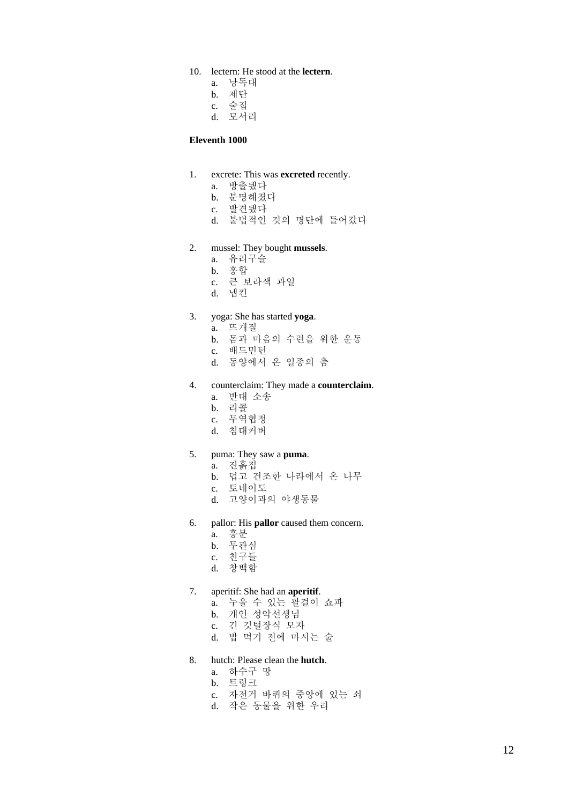- 10. lectern: He stood at the **lectern**.
	- a. 낭독대
	- b. 제단
	- c. 술집
	- d. 모서리

#### **Eleventh 1000**

- 1. excrete: This was **excreted** recently.
	- a. 방출됐다
	- b. 분명해졌다
	- c. 발견됐다
	- d. 불법적인 것의 명단에 들어갔다
- 2. mussel: They bought **mussels**.
	- a. 유리구슬
	- b. 홍합
	- c. 큰 보라색 과일
	- d. 냅킨

# 3. yoga: She has started **yoga**.

- a. 뜨개질
- b. 몸과 마음의 수련을 위한 운동
- c. 배드민턴
- d. 동양에서 온 일종의 춤
- 4. counterclaim: They made a **counterclaim**.
	- a. 반대 소송
	- b. 리콜
	- c. 무역협정
	- d. 침대커버
- 5. puma: They saw a **puma**.
	- a. 진흙집
	- b. 덥고 건조한 나라에서 온 나무
	- c. 토네이도
	- d. 고양이과의 야생동물
- 6. pallor: His **pallor** caused them concern.
	- a. 흥분
	- b. 무관심
	- c. 친구들
	- d. 창백함
- 7. aperitif: She had an **aperitif**.
	- a. 누울 수 있는 팔걸이 쇼파
	- b. 개인 성악선생님
	- c. 긴 깃털장식 모자
	- d. 밥 먹기 전에 마시는 술

### 8. hutch: Please clean the **hutch**.

- a. 하수구 망
- b. 트렁크
- c. 자전거 바퀴의 중앙에 있는 쇠
- d. 작은 동물을 위한 우리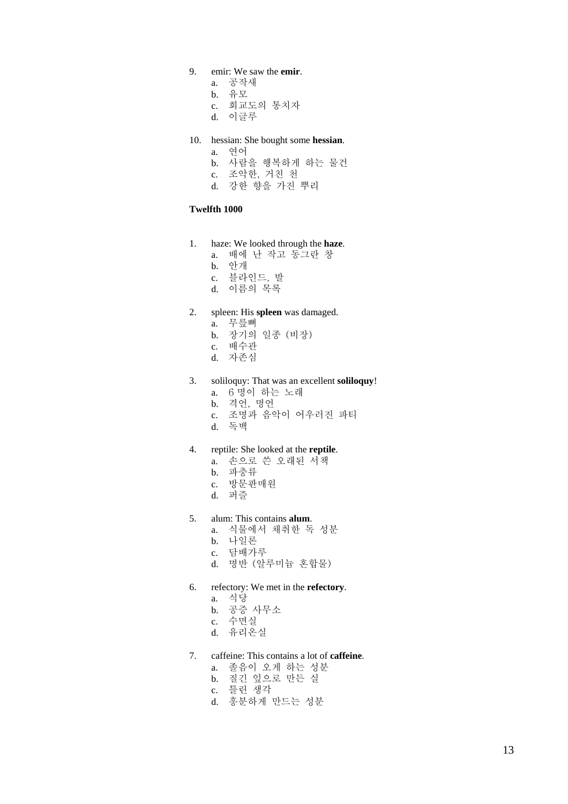## 9. emir: We saw the **emir**.

- a. 공작새
- b. 유모
- c. 회교도의 통치자
- d. 이글루
- 10. hessian: She bought some **hessian**.
	- a. 연어
	- b. 사람을 행복하게 하는 물건
	- c. 조악한, 거친 천
	- d. 강한 향을 가진 뿌리

#### **Twelfth 1000**

- 1. haze: We looked through the **haze**.
	- a. 배에 난 작고 동그란 창
	- b. 안개
	- c. 블라인드, 발
	- d. 이름의 목록

### 2. spleen: His **spleen** was damaged.

- a. 무릎뼈
- b. 장기의 일종 (비장)
- c. 배수관
- d. 자존심
- 3. soliloquy: That was an excellent **soliloquy**!
	- a. 6 명이 하는 노래
	- b. 격언, 명언
	- c. 조명과 음악이 어우러진 파티
	- d. 독백

#### 4. reptile: She looked at the **reptile**.

- a. 손으로 쓴 오래된 서책
- b. 파충류
- c. 방문판매원
- d. 퍼즐
- 5. alum: This contains **alum**.
	- a. 식물에서 채취한 독 성분
	- b. 나일론
	- c. 담배가루
	- d. 명반 (알루미늄 혼합물)
- 6. refectory: We met in the **refectory**.
	- a. 식당
	- b. 공증 사무소
	- c. 수면실
	- d. 유리온실
- 7. caffeine: This contains a lot of **caffeine**.
	- a. 졸음이 오게 하는 성분
	- b. 질긴 잎으로 만든 실
	- c. 틀린 생각
	- d. 흥분하게 만드는 성분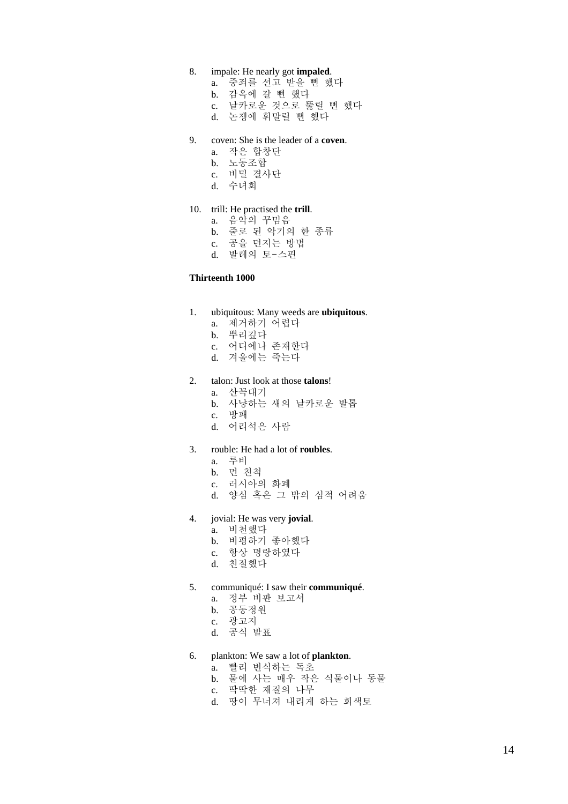#### 8. impale: He nearly got **impaled**.

- a. 중죄를 선고 받을 뻔 했다
- b. 감옥에 갈 뻔 했다
- c. 날카로운 것으로 뚫릴 뻔 했다
- d. 논쟁에 휘말릴 뻔 했다
- 9. coven: She is the leader of a **coven**.
	- a. 작은 합창단
	- b. 노동조합
	- c. 비밀 결사단
	- d. 수녀회

#### 10. trill: He practised the **trill**.

- a. 음악의 꾸밈음
- b. 줄로 된 악기의 한 종류
- c. 공을 던지는 방법
- d. 발레의 토-스핀

#### **Thirteenth 1000**

### 1. ubiquitous: Many weeds are **ubiquitous**.

- a. 제거하기 어렵다
- b. 뿌리깊다
- c. 어디에나 존재한다
- d. 겨울에는 죽는다

## 2. talon: Just look at those **talons**!

- a. 산꼭대기
- b. 사냥하는 새의 날카로운 발톱
- c. 방패
- d. 어리석은 사람

### 3. rouble: He had a lot of **roubles**.

- a. 루비
- b. 먼 친척
- c. 러시아의 화폐
- d. 양심 혹은 그 밖의 심적 어려움
- 4. jovial: He was very **jovial**.
	- a. 비천했다
	- b. 비평하기 좋아했다
	- c. 항상 명랑하였다
	- d. 친절했다
- 5. communiqué: I saw their **communiqué**.
	- a. 정부 비판 보고서
	- b. 공동정원
	- c. 광고지
	- d. 공식 발표
- 6. plankton: We saw a lot of **plankton**.
	- a. 빨리 번식하는 독초
	- b. 물에 사는 매우 작은 식물이나 동물
	- c. 딱딱한 재질의 나무
	- d. 땅이 무너져 내리게 하는 회색토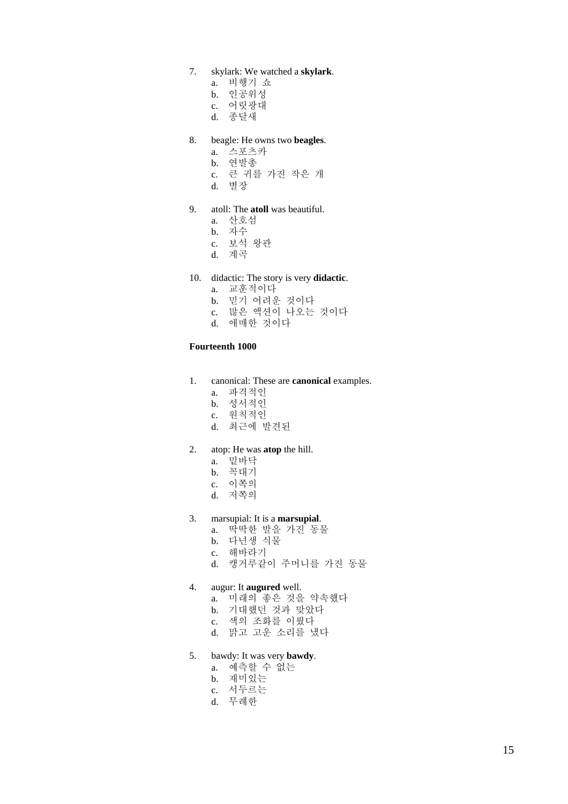- 7. skylark: We watched a **skylark**.
	- a. 비행기 쇼
	- b. 인공위성
	- c. 어릿광대
	- d. 종달새

### 8. beagle: He owns two **beagles**.

- a. 스포츠카
- b. 연발총
- c. 큰 귀를 가진 작은 개
- d. 별장

#### 9. atoll: The **atoll** was beautiful.

- a. 산호섬
- b. 자수
- c. 보석 왕관
- d. 계곡
- 10. didactic: The story is very **didactic**.
	- a. 교훈적이다
	- b. 믿기 어려운 것이다
	- c. 많은 액션이 나오는 것이다
	- d. 애매한 것이다

#### **Fourteenth 1000**

- 1. canonical: These are **canonical** examples.
	- a. 파격적인
	- b. 성서적인
	- c. 원칙적인
	- d. 최근에 발견된

#### 2. atop: He was **atop** the hill.

- a. 밑바닥
- b. 꼭대기
- c. 이쪽의
- d. 저쪽의
- 3. marsupial: It is a **marsupial**.
	- a. 딱딱한 발을 가진 동물
	- b. 다년생 식물
	- c. 해바라기
	- d. 캥거루같이 주머니를 가진 동물

#### 4. augur: It **augured** well.

- a. 미래의 좋은 것을 약속했다
- b. 기대했던 것과 맞았다
- c. 색의 조화를 이뤘다
- d. 맑고 고운 소리를 냈다

#### 5. bawdy: It was very **bawdy**.

- a. 예측할 수 없는
- b. 재미있는
- c. 서두르는
- d. 무례한